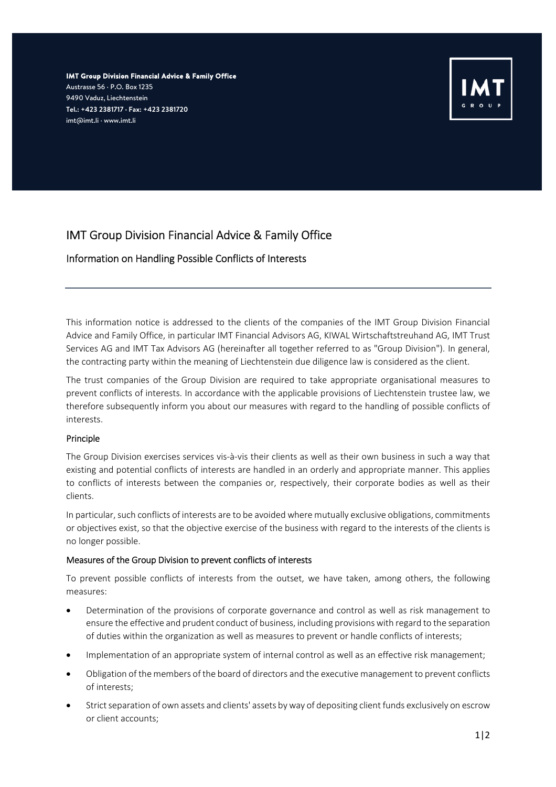*IMT Group Division Financial Advice & Family Office*  Austrasse 56 · P.O. Box 1235 9490 Vaduz, Liechtenstein *Tel.: +423 2381717 · Fax: +423 2381720*  imt@imt.li · www.imt.li



# IMT Group Division Financial Advice & Family Office

## Information on Handling Possible Conflicts of Interests

This information notice is addressed to the clients of the companies of the IMT Group Division Financial Advice and Family Office, in particular IMT Financial Advisors AG, KIWAL Wirtschaftstreuhand AG, IMT Trust Services AG and IMT Tax Advisors AG (hereinafter all together referred to as "Group Division"). In general, the contracting party within the meaning of Liechtenstein due diligence law is considered as the client.

The trust companies of the Group Division are required to take appropriate organisational measures to prevent conflicts of interests. In accordance with the applicable provisions of Liechtenstein trustee law, we therefore subsequently inform you about our measures with regard to the handling of possible conflicts of interests.

### Principle

The Group Division exercises services vis-à-vis their clients as well as their own business in such a way that existing and potential conflicts of interests are handled in an orderly and appropriate manner. This applies to conflicts of interests between the companies or, respectively, their corporate bodies as well as their clients.

In particular, such conflicts of interests are to be avoided where mutually exclusive obligations, commitments or objectives exist, so that the objective exercise of the business with regard to the interests of the clients is no longer possible.

## Measures of the Group Division to prevent conflicts of interests

To prevent possible conflicts of interests from the outset, we have taken, among others, the following measures:

- Determination of the provisions of corporate governance and control as well as risk management to ensure the effective and prudent conduct of business, including provisions with regard to the separation of duties within the organization as well as measures to prevent or handle conflicts of interests;
- Implementation of an appropriate system of internal control as well as an effective risk management;
- Obligation of the members of the board of directors and the executive management to prevent conflicts of interests;
- Strict separation of own assets and clients' assets by way of depositing client funds exclusively on escrow or client accounts;